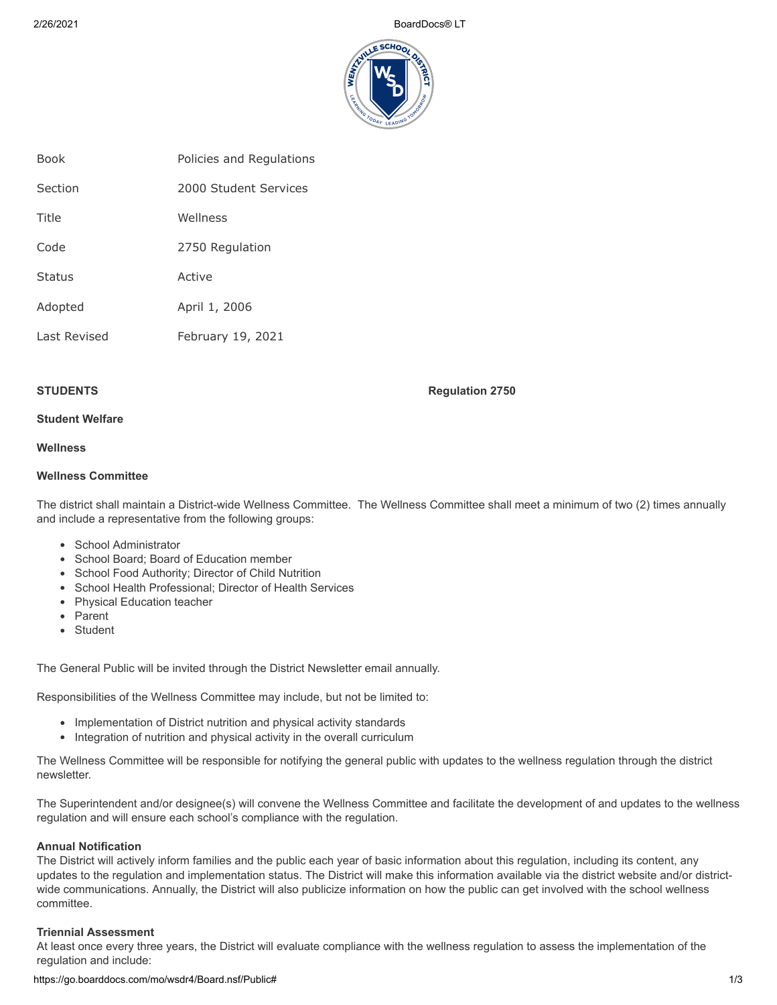2/26/2021 BoardDocs® LT



| <b>Book</b>  | Policies and Regulations |
|--------------|--------------------------|
| Section      | 2000 Student Services    |
| Title        | Wellness                 |
| Code         | 2750 Regulation          |
| Status       | Active                   |
| Adopted      | April 1, 2006            |
| Last Revised | February 19, 2021        |

**STUDENTS** Regulation 2750

# **Student Welfare**

# **Wellness**

#### **Wellness Committee**

The district shall maintain a District-wide Wellness Committee. The Wellness Committee shall meet a minimum of two (2) times annually and include a representative from the following groups:

- School Administrator
- School Board; Board of Education member
- School Food Authority; Director of Child Nutrition
- School Health Professional; Director of Health Services
- Physical Education teacher
- Parent
- Student

The General Public will be invited through the District Newsletter email annually.

Responsibilities of the Wellness Committee may include, but not be limited to:

- Implementation of District nutrition and physical activity standards
- Integration of nutrition and physical activity in the overall curriculum

The Wellness Committee will be responsible for notifying the general public with updates to the wellness regulation through the district newsletter.

The Superintendent and/or designee(s) will convene the Wellness Committee and facilitate the development of and updates to the wellness regulation and will ensure each school's compliance with the regulation.

#### **Annual Notification**

The District will actively inform families and the public each year of basic information about this regulation, including its content, any updates to the regulation and implementation status. The District will make this information available via the district website and/or districtwide communications. Annually, the District will also publicize information on how the public can get involved with the school wellness committee.

#### **Triennial Assessment**

At least once every three years, the District will evaluate compliance with the wellness regulation to assess the implementation of the regulation and include: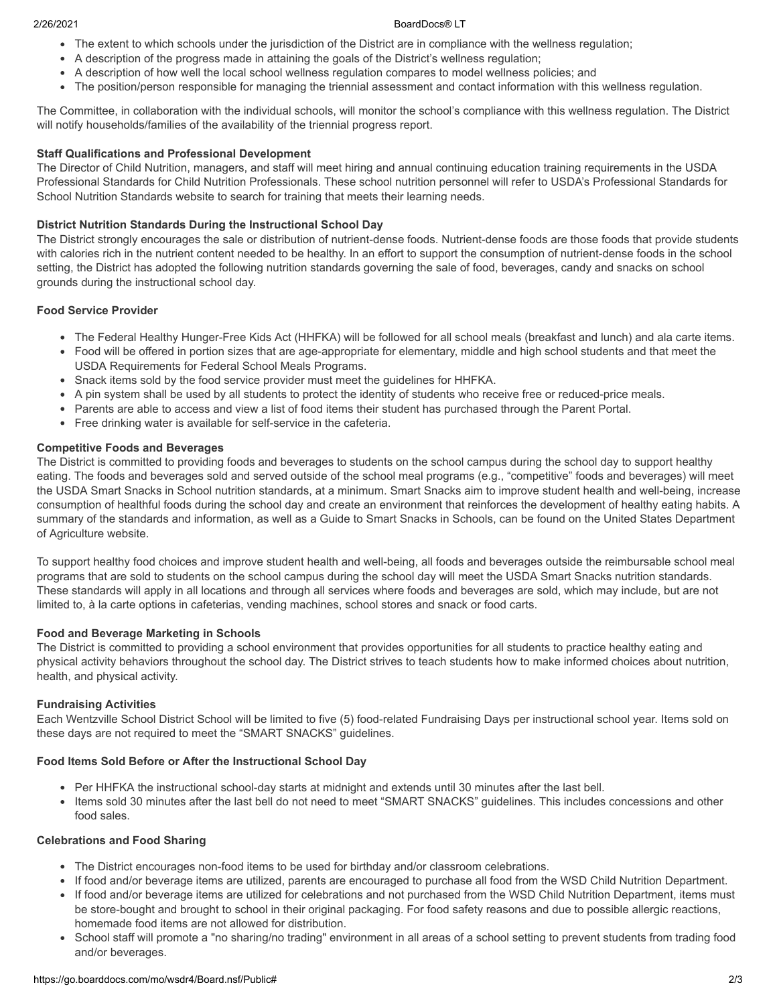#### 2/26/2021 BoardDocs® LT

- The extent to which schools under the jurisdiction of the District are in compliance with the wellness regulation;
- A description of the progress made in attaining the goals of the District's wellness regulation;
- A description of how well the local school wellness regulation compares to model wellness policies; and
- The position/person responsible for managing the triennial assessment and contact information with this wellness regulation.

The Committee, in collaboration with the individual schools, will monitor the school's compliance with this wellness regulation. The District will notify households/families of the availability of the triennial progress report.

#### **Staff Qualifications and Professional Development**

The Director of Child Nutrition, managers, and staff will meet hiring and annual continuing education training requirements in the USDA Professional Standards for Child Nutrition Professionals. These school nutrition personnel will refer to USDA's Professional Standards for School Nutrition Standards website to search for training that meets their learning needs.

#### **District Nutrition Standards During the Instructional School Day**

The District strongly encourages the sale or distribution of nutrient-dense foods. Nutrient-dense foods are those foods that provide students with calories rich in the nutrient content needed to be healthy. In an effort to support the consumption of nutrient-dense foods in the school setting, the District has adopted the following nutrition standards governing the sale of food, beverages, candy and snacks on school grounds during the instructional school day.

#### **Food Service Provider**

- The Federal Healthy Hunger-Free Kids Act (HHFKA) will be followed for all school meals (breakfast and lunch) and ala carte items.
- Food will be offered in portion sizes that are age-appropriate for elementary, middle and high school students and that meet the USDA Requirements for Federal School Meals Programs.
- Snack items sold by the food service provider must meet the guidelines for HHFKA.
- A pin system shall be used by all students to protect the identity of students who receive free or reduced-price meals.
- Parents are able to access and view a list of food items their student has purchased through the Parent Portal.
- Free drinking water is available for self-service in the cafeteria.

#### **Competitive Foods and Beverages**

The District is committed to providing foods and beverages to students on the school campus during the school day to support healthy eating. The foods and beverages sold and served outside of the school meal programs (e.g., "competitive" foods and beverages) will meet the USDA Smart Snacks in School nutrition standards, at a minimum. Smart Snacks aim to improve student health and well-being, increase consumption of healthful foods during the school day and create an environment that reinforces the development of healthy eating habits. A summary of the standards and information, as well as a Guide to Smart Snacks in Schools, can be found on the United States Department of Agriculture website.

To support healthy food choices and improve student health and well-being, all foods and beverages outside the reimbursable school meal programs that are sold to students on the school campus during the school day will meet the USDA Smart Snacks nutrition standards. These standards will apply in all locations and through all services where foods and beverages are sold, which may include, but are not limited to, à la carte options in cafeterias, vending machines, school stores and snack or food carts.

#### **Food and Beverage Marketing in Schools**

The District is committed to providing a school environment that provides opportunities for all students to practice healthy eating and physical activity behaviors throughout the school day. The District strives to teach students how to make informed choices about nutrition, health, and physical activity.

#### **Fundraising Activities**

Each Wentzville School District School will be limited to five (5) food-related Fundraising Days per instructional school year. Items sold on these days are not required to meet the "SMART SNACKS" guidelines.

#### **Food Items Sold Before or After the Instructional School Day**

- Per HHFKA the instructional school-day starts at midnight and extends until 30 minutes after the last bell.
- Items sold 30 minutes after the last bell do not need to meet "SMART SNACKS" guidelines. This includes concessions and other food sales.

#### **Celebrations and Food Sharing**

- The District encourages non-food items to be used for birthday and/or classroom celebrations.
- If food and/or beverage items are utilized, parents are encouraged to purchase all food from the WSD Child Nutrition Department.
- If food and/or beverage items are utilized for celebrations and not purchased from the WSD Child Nutrition Department, items must be store-bought and brought to school in their original packaging. For food safety reasons and due to possible allergic reactions, homemade food items are not allowed for distribution.
- School staff will promote a "no sharing/no trading" environment in all areas of a school setting to prevent students from trading food and/or beverages.